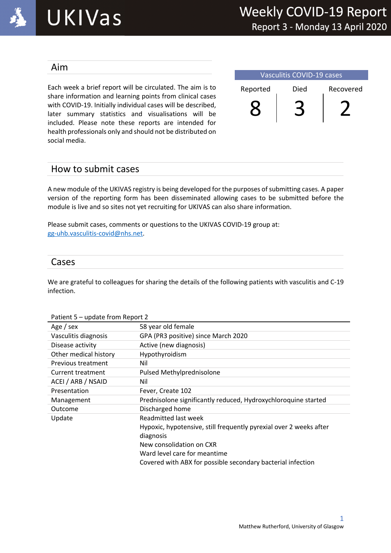

### Aim

Each week a brief report will be circulated. The aim is to share information and learning points from clinical cases with COVID-19. Initially individual cases will be described, later summary statistics and visualisations will be included. Please note these reports are intended for health professionals only and should not be distributed on social media.

| Vasculitis COVID-19 cases |      |           |  |
|---------------------------|------|-----------|--|
| Reported                  | Died | Recovered |  |
|                           |      |           |  |

## How to submit cases

A new module of the UKIVAS registry is being developed for the purposes of submitting cases. A paper version of the reporting form has been disseminated allowing cases to be submitted before the module is live and so sites not yet recruiting for UKIVAS can also share information.

Please submit cases, comments or questions to the UKIVAS COVID-19 group at: gg-uhb.vasculitis-covid@nhs.net.

## Cases

We are grateful to colleagues for sharing the details of the following patients with vasculitis and C-19 infection.

#### Patient 5 – update from Report 2

| Age / sex             | 58 year old female                                                 |
|-----------------------|--------------------------------------------------------------------|
| Vasculitis diagnosis  | GPA (PR3 positive) since March 2020                                |
| Disease activity      | Active (new diagnosis)                                             |
| Other medical history | Hypothyroidism                                                     |
| Previous treatment    | Nil                                                                |
| Current treatment     | Pulsed Methylprednisolone                                          |
| ACEI / ARB / NSAID    | Nil                                                                |
| Presentation          | Fever, Create 102                                                  |
| Management            | Prednisolone significantly reduced, Hydroxychloroquine started     |
| Outcome               | Discharged home                                                    |
| Update                | Readmitted last week                                               |
|                       | Hypoxic, hypotensive, still frequently pyrexial over 2 weeks after |
|                       | diagnosis                                                          |
|                       | New consolidation on CXR                                           |
|                       | Ward level care for meantime                                       |
|                       | Covered with ABX for possible secondary bacterial infection        |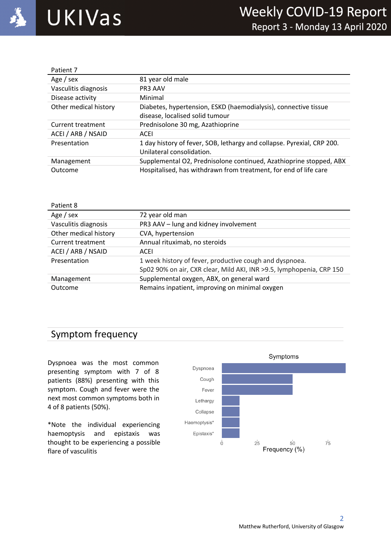

| Patient 7                |                                                                                                     |
|--------------------------|-----------------------------------------------------------------------------------------------------|
| Age / sex                | 81 year old male                                                                                    |
| Vasculitis diagnosis     | <b>PR3 AAV</b>                                                                                      |
| Disease activity         | Minimal                                                                                             |
| Other medical history    | Diabetes, hypertension, ESKD (haemodialysis), connective tissue                                     |
|                          | disease, localised solid tumour                                                                     |
| <b>Current treatment</b> | Prednisolone 30 mg, Azathioprine                                                                    |
| ACEI / ARB / NSAID       | ACEI                                                                                                |
| Presentation             | 1 day history of fever, SOB, lethargy and collapse. Pyrexial, CRP 200.<br>Unilateral consolidation. |
| Management               | Supplemental O2, Prednisolone continued, Azathioprine stopped, ABX                                  |
| Outcome                  | Hospitalised, has withdrawn from treatment, for end of life care                                    |

| Patient 8             |                                                                       |
|-----------------------|-----------------------------------------------------------------------|
| Age / sex             | 72 year old man                                                       |
| Vasculitis diagnosis  | PR3 AAV - lung and kidney involvement                                 |
| Other medical history | CVA, hypertension                                                     |
| Current treatment     | Annual rituximab, no steroids                                         |
| ACEI / ARB / NSAID    | ACEI                                                                  |
| Presentation          | 1 week history of fever, productive cough and dyspnoea.               |
|                       | Sp02 90% on air, CXR clear, Mild AKI, INR > 9.5, lymphopenia, CRP 150 |
| Management            | Supplemental oxygen, ABX, on general ward                             |
| Outcome               | Remains inpatient, improving on minimal oxygen                        |

## Symptom frequency

Dyspnoea was the most common presenting symptom with 7 of 8 patients (88%) presenting with this symptom. Cough and fever were the next most common symptoms both in 4 of 8 patients (50%).

\*Note the individual experiencing haemoptysis and epistaxis was thought to be experiencing a possible flare of vasculitis